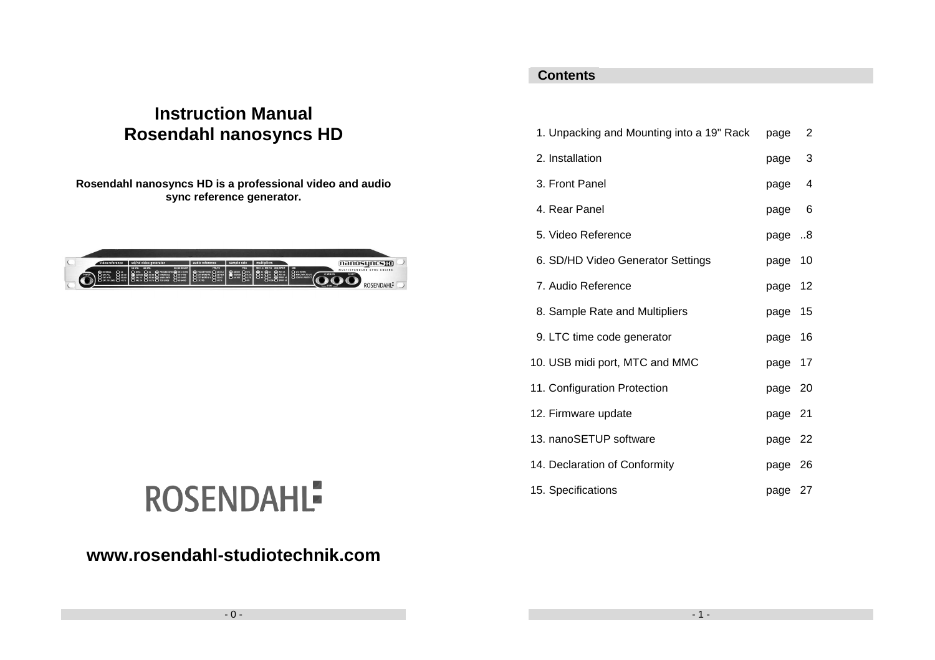## **Instruction Manual Rosendahl nanosyncs HD**

**Rosendahl nanosyncs HD is a professional video and audio sync reference generator.** 

| deo reference. | sd/hd video generator                               | audio reference                     | sample rate                                   | multipliers                             |                                                      | nanosyncs <b>m</b>                                              |
|----------------|-----------------------------------------------------|-------------------------------------|-----------------------------------------------|-----------------------------------------|------------------------------------------------------|-----------------------------------------------------------------|
|                | SD STD. ND STD.<br>SD/AD SELECT<br><b>COMMITTEE</b> | 195/15<br>50000<br>$\sum_{i=1}^{n}$ | PULL<br>$ \bullet$ $\bullet$ $\bullet$<br>O-N | W01-6 W07-8 ALS/SPDIT<br><b>SERGEVE</b> | <b>Lists</b><br><b>C</b> LTC TO MTC<br><b>CHINES</b> | MULTISTANDARD SYNC ENGINE<br><b>SELECT</b><br><b>ROSENDAHL-</b> |

#### **Contents**

| 1. Unpacking and Mounting into a 19" Rack | page    | 2              |
|-------------------------------------------|---------|----------------|
| 2. Installation                           | page    | 3              |
| 3. Front Panel                            | page    | $\overline{4}$ |
| 4. Rear Panel                             | page 6  |                |
| 5. Video Reference                        | page 8  |                |
| 6. SD/HD Video Generator Settings         | page    | 10             |
| 7. Audio Reference                        | page 12 |                |
| 8. Sample Rate and Multipliers            | page 15 |                |
| 9. LTC time code generator                | page 16 |                |
| 10. USB midi port, MTC and MMC            | page 17 |                |
| 11. Configuration Protection              | page 20 |                |
| 12. Firmware update                       | page 21 |                |
| 13. nanoSETUP software                    | page 22 |                |
| 14. Declaration of Conformity             | page 26 |                |
| 15. Specifications                        | page 27 |                |

# **ROSENDAHL**

### **www.rosendahl-studiotechnik.com**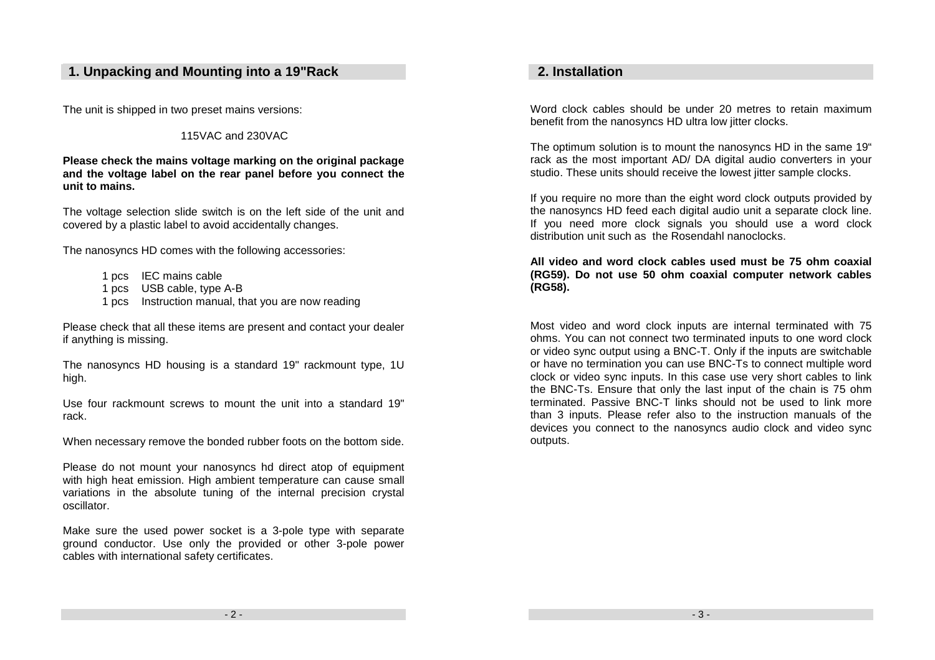#### **1. Unpacking and Mounting into a 19"Rack**

The unit is shipped in two preset mains versions:

#### 115VAC and 230VAC

**Please check the mains voltage marking on the original package and the voltage label on the rear panel before you connect the unit to mains.**

The voltage selection slide switch is on the left side of the unit and covered by a plastic label to avoid accidentally changes.

The nanosyncs HD comes with the following accessories:

- 1 pcs IEC mains cable
- 1 pcs USB cable, type A-B
- 1 pcs Instruction manual, that you are now reading

Please check that all these items are present and contact your dealer if anything is missing.

The nanosyncs HD housing is a standard 19" rackmount type, 1U high.

Use four rackmount screws to mount the unit into a standard 19" rack.

When necessary remove the bonded rubber foots on the bottom side.

Please do not mount your nanosyncs hd direct atop of equipment with high heat emission. High ambient temperature can cause small variations in the absolute tuning of the internal precision crystal oscillator.

Make sure the used power socket is a 3-pole type with separate ground conductor. Use only the provided or other 3-pole power cables with international safety certificates.

#### **2. Installation**

Word clock cables should be under 20 metres to retain maximum benefit from the nanosyncs HD ultra low jitter clocks.

The optimum solution is to mount the nanosyncs HD in the same 19" rack as the most important AD/ DA digital audio converters in your studio. These units should receive the lowest jitter sample clocks.

If you require no more than the eight word clock outputs provided by the nanosyncs HD feed each digital audio unit a separate clock line. If you need more clock signals you should use a word clock distribution unit such as the Rosendahl nanoclocks.

#### **All video and word clock cables used must be 75 ohm coaxial (RG59). Do not use 50 ohm coaxial computer network cables (RG58).**

Most video and word clock inputs are internal terminated with 75 ohms. You can not connect two terminated inputs to one word clock or video sync output using a BNC-T. Only if the inputs are switchable or have no termination you can use BNC-Ts to connect multiple word clock or video sync inputs. In this case use very short cables to link the BNC-Ts. Ensure that only the last input of the chain is 75 ohm terminated. Passive BNC-T links should not be used to link more than 3 inputs. Please refer also to the instruction manuals of the devices you connect to the nanosyncs audio clock and video sync outputs.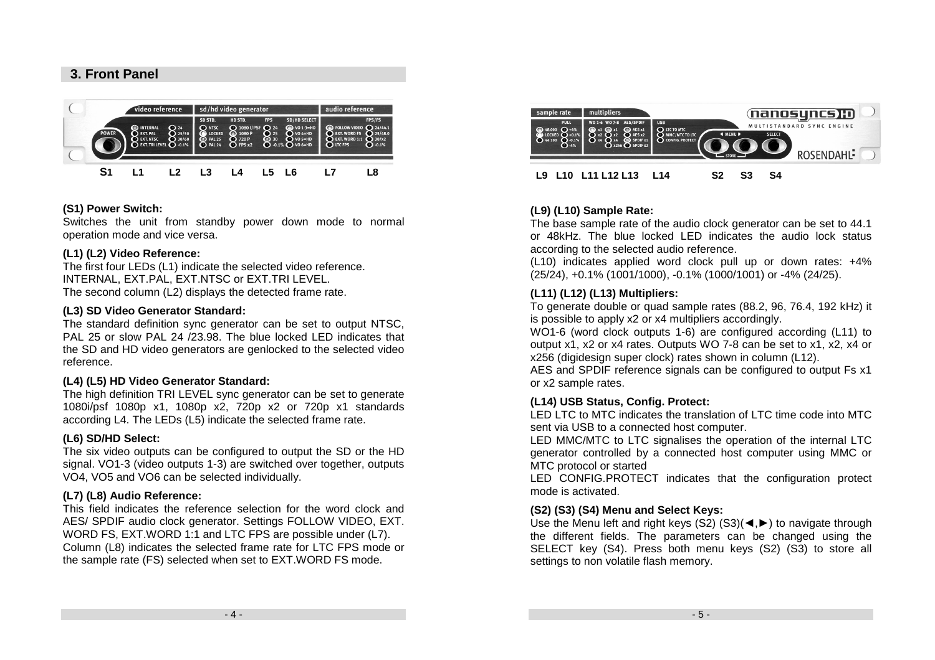#### **3. Front Panel**



#### **(S1) Power Switch:**

Switches the unit from standby power down mode to normal operation mode and vice versa.

#### **(L1) (L2) Video Reference:**

 The first four LEDs (L1) indicate the selected video reference. INTERNAL, EXT.PAL, EXT.NTSC or EXT.TRI LEVEL. The second column (L2) displays the detected frame rate.

#### **(L3) SD Video Generator Standard:**

 The standard definition sync generator can be set to output NTSC, PAL 25 or slow PAL 24 /23.98. The blue locked LED indicates that the SD and HD video generators are genlocked to the selected video reference.

#### **(L4) (L5) HD Video Generator Standard:**

 The high definition TRI LEVEL sync generator can be set to generate 1080i/psf 1080p x1, 1080p x2, 720p x2 or 720p x1 standards according L4. The LEDs (L5) indicate the selected frame rate.

#### **(L6) SD/HD Select:**

 The six video outputs can be configured to output the SD or the HD signal. VO1-3 (video outputs 1-3) are switched over together, outputs VO4, VO5 and VO6 can be selected individually.

#### **(L7) (L8) Audio Reference:**

 This field indicates the reference selection for the word clock and AES/ SPDIF audio clock generator. Settings FOLLOW VIDEO, EXT. WORD FS, EXT.WORD 1:1 and LTC FPS are possible under (L7). Column (L8) indicates the selected frame rate for LTC FPS mode or the sample rate (FS) selected when set to EXT.WORD FS mode.



#### **(L9) (L10) Sample Rate:**

 The base sample rate of the audio clock generator can be set to 44.1 or 48kHz. The blue locked LED indicates the audio lock status according to the selected audio reference.

 (L10) indicates applied word clock pull up or down rates: +4% (25/24), +0.1% (1001/1000), -0.1% (1000/1001) or -4% (24/25).

#### **(L11) (L12) (L13) Multipliers:**

 To generate double or quad sample rates (88.2, 96, 76.4, 192 kHz) it is possible to apply x2 or x4 multipliers accordingly.

 WO1-6 (word clock outputs 1-6) are configured according (L11) to output x1, x2 or x4 rates. Outputs WO 7-8 can be set to x1, x2, x4 or x256 (digidesign super clock) rates shown in column (L12).

 AES and SPDIF reference signals can be configured to output Fs x1 or x2 sample rates.

#### **(L14) USB Status, Config. Protect:**

 LED LTC to MTC indicates the translation of LTC time code into MTC sent via USB to a connected host computer.

 LED MMC/MTC to LTC signalises the operation of the internal LTC generator controlled by a connected host computer using MMC or MTC protocol or started

 LED CONFIG.PROTECT indicates that the configuration protect mode is activated.

#### **(S2) (S3) (S4) Menu and Select Keys:**

 Use the Menu left and right keys (S2) (S3)(◄,►) to navigate through the different fields. The parameters can be changed using the SELECT key (S4). Press both menu keys (S2) (S3) to store all settings to non volatile flash memory.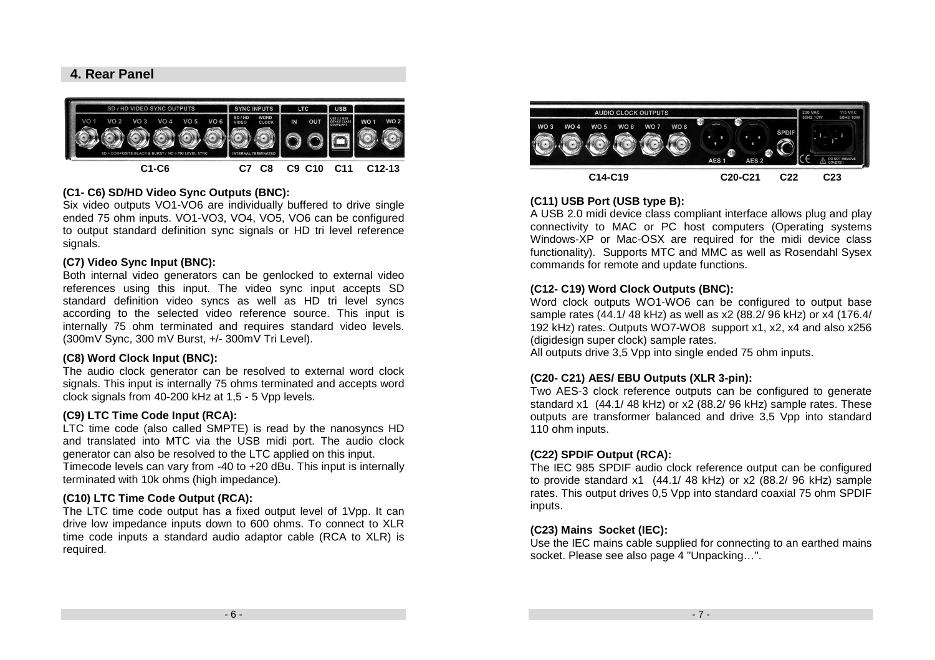#### **4. Rear Panel**



#### **(C1- C6) SD/HD Video Sync Outputs (BNC):**

 Six video outputs VO1-VO6 are individually buffered to drive single ended 75 ohm inputs. VO1-VO3, VO4, VO5, VO6 can be configured to output standard definition sync signals or HD tri level reference signals.

#### **(C7) Video Sync Input (BNC):**

 Both internal video generators can be genlocked to external video references using this input. The video sync input accepts SD standard definition video syncs as well as HD tri level syncs according to the selected video reference source. This input is internally 75 ohm terminated and requires standard video levels. (300mV Sync, 300 mV Burst, +/- 300mV Tri Level).

#### **(C8) Word Clock Input (BNC):**

 The audio clock generator can be resolved to external word clock signals. This input is internally 75 ohms terminated and accepts word clock signals from 40-200 kHz at 1,5 - 5 Vpp levels.

#### **(C9) LTC Time Code Input (RCA):**

 LTC time code (also called SMPTE) is read by the nanosyncs HD and translated into MTC via the USB midi port. The audio clock generator can also be resolved to the LTC applied on this input. Timecode levels can vary from -40 to +20 dBu. This input is internally terminated with 10k ohms (high impedance).

#### **(C10) LTC Time Code Output (RCA):**

 The LTC time code output has a fixed output level of 1Vpp. It can drive low impedance inputs down to 600 ohms. To connect to XLR time code inputs a standard audio adaptor cable (RCA to XLR) is required.



#### **(C11) USB Port (USB type B):**

 A USB 2.0 midi device class compliant interface allows plug and play connectivity to MAC or PC host computers (Operating systems Windows-XP or Mac-OSX are required for the midi device class functionality). Supports MTC and MMC as well as Rosendahl Sysex commands for remote and update functions.

#### **(C12- C19) Word Clock Outputs (BNC):**

 Word clock outputs WO1-WO6 can be configured to output base sample rates (44.1/ 48 kHz) as well as x2 (88.2/ 96 kHz) or x4 (176.4/ 192 kHz) rates. Outputs WO7-WO8 support x1, x2, x4 and also x256 (digidesign super clock) sample rates.

All outputs drive 3,5 Vpp into single ended 75 ohm inputs.

#### **(C20- C21) AES/ EBU Outputs (XLR 3-pin):**

 Two AES-3 clock reference outputs can be configured to generate standard x1 (44.1/ 48 kHz) or x2 (88.2/ 96 kHz) sample rates. These outputs are transformer balanced and drive 3,5 Vpp into standard 110 ohm inputs.

#### **(C22) SPDIF Output (RCA):**

 The IEC 985 SPDIF audio clock reference output can be configured to provide standard x1 (44.1/ 48 kHz) or x2 (88.2/ 96 kHz) sample rates. This output drives 0,5 Vpp into standard coaxial 75 ohm SPDIF inputs.

#### **(C23) Mains Socket (IEC):**

 Use the IEC mains cable supplied for connecting to an earthed mains socket. Please see also page 4 "Unpacking…".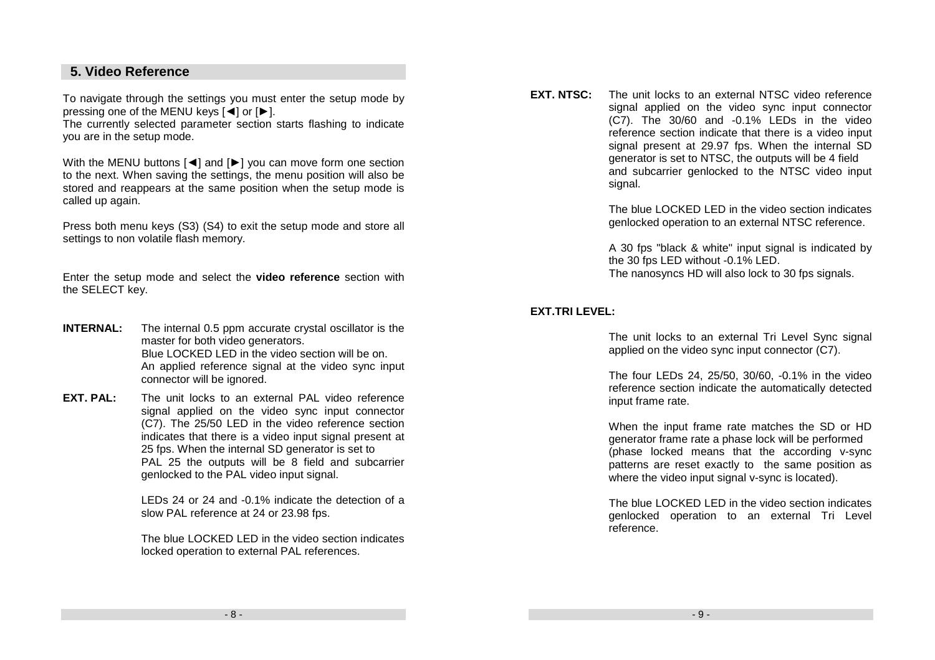#### **5. Video Reference**

To navigate through the settings you must enter the setup mode by pressing one of the MENU keys [◄] or [►].

 The currently selected parameter section starts flashing to indicate you are in the setup mode.

With the MENU buttons [◀] and [▶] you can move form one section to the next. When saving the settings, the menu position will also be stored and reappears at the same position when the setup mode is called up again.

Press both menu keys (S3) (S4) to exit the setup mode and store all settings to non volatile flash memory.

Enter the setup mode and select the **video reference** section with the SELECT key.

- **INTERNAL:** The internal 0.5 ppm accurate crystal oscillator is the master for both video generators. Blue LOCKED LED in the video section will be on. An applied reference signal at the video sync inputconnector will be ignored.
- **EXT. PAL:** The unit locks to an external PAL video reference signal applied on the video sync input connector (C7). The 25/50 LED in the video reference section indicates that there is a video input signal present at 25 fps. When the internal SD generator is set to PAL 25 the outputs will be 8 field and subcarrier genlocked to the PAL video input signal.

LEDs 24 or 24 and -0.1% indicate the detection of aslow PAL reference at 24 or 23.98 fps.

The blue LOCKED LED in the video section indicates locked operation to external PAL references.

**EXT. NTSC:** The unit locks to an external NTSC video reference signal applied on the video sync input connector (C7). The 30/60 and -0.1% LEDs in the video reference section indicate that there is a video input signal present at 29.97 fps. When the internal SD generator is set to NTSC, the outputs will be 4 field and subcarrier genlocked to the NTSC video input signal.

> The blue LOCKED LED in the video section indicates genlocked operation to an external NTSC reference.

 A 30 fps "black & white" input signal is indicated by the 30 fps LED without -0.1% LED. The nanosyncs HD will also lock to 30 fps signals.

#### **EXT.TRI LEVEL:**

The unit locks to an external Tri Level Sync signalapplied on the video sync input connector (C7).

The four LEDs 24, 25/50, 30/60, -0.1% in the video reference section indicate the automatically detected input frame rate.

When the input frame rate matches the SD or HD generator frame rate a phase lock will be performed (phase locked means that the according v-sync patterns are reset exactly to the same position aswhere the video input signal v-sync is located).

The blue LOCKED LED in the video section indicates genlocked operation to an external Tri Level reference.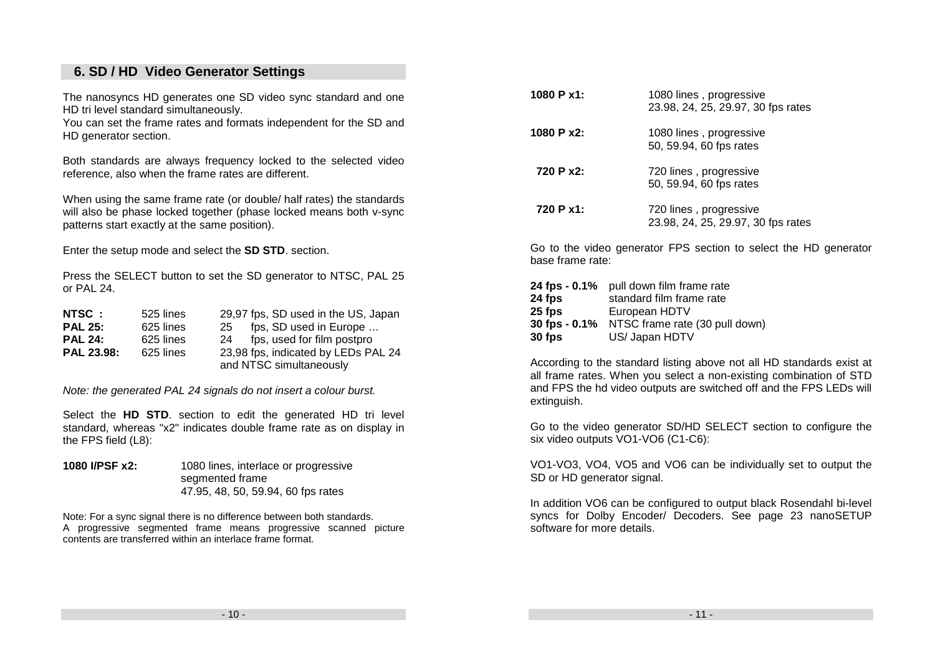#### **6. SD / HD Video Generator Settings**

The nanosyncs HD generates one SD video sync standard and one HD tri level standard simultaneously.

 You can set the frame rates and formats independent for the SD and HD generator section.

Both standards are always frequency locked to the selected video reference, also when the frame rates are different.

When using the same frame rate (or double/ half rates) the standards will also be phase locked together (phase locked means both v-sync patterns start exactly at the same position).

Enter the setup mode and select the **SD STD**. section.

Press the SELECT button to set the SD generator to NTSC, PAL 25 or PAL 24.

| NTSC:             | 525 lines | 29,97 fps, SD used in the US, Japan |
|-------------------|-----------|-------------------------------------|
| <b>PAL 25:</b>    | 625 lines | fps, SD used in Europe<br>25        |
| <b>PAL 24:</b>    | 625 lines | fps, used for film postpro<br>24    |
| <b>PAL 23.98:</b> | 625 lines | 23,98 fps, indicated by LEDs PAL 24 |
|                   |           | and NTSC simultaneously             |

Note: the generated PAL 24 signals do not insert a colour burst.

Select the **HD STD**. section to edit the generated HD tri level standard, whereas "x2" indicates double frame rate as on display in the FPS field (L8):

**1080 I/PSF x2:** 1080 lines, interlace or progressive segmented frame 47.95, 48, 50, 59.94, 60 fps rates

Note: For a sync signal there is no difference between both standards. A progressive segmented frame means progressive scanned picture contents are transferred within an interlace frame format.

| 1080 P x1: | 1080 lines, progressive<br>23.98, 24, 25, 29.97, 30 fps rates |
|------------|---------------------------------------------------------------|
| 1080 P x2: | 1080 lines, progressive<br>50, 59.94, 60 fps rates            |
| 720 P x2:  | 720 lines, progressive<br>50, 59.94, 60 fps rates             |
| 720 P x1:  | 720 lines, progressive<br>23.98, 24, 25, 29.97, 30 fps rates  |

Go to the video generator FPS section to select the HD generator base frame rate:

|               | 24 fps - 0.1% pull down film frame rate |
|---------------|-----------------------------------------|
| 24 fps        | standard film frame rate                |
| 25 fps        | European HDTV                           |
| 30 fps - 0.1% | NTSC frame rate (30 pull down)          |
| 30 fps        | US/ Japan HDTV                          |

According to the standard listing above not all HD standards exist at all frame rates. When you select a non-existing combination of STD and FPS the hd video outputs are switched off and the FPS LEDs will extinguish.

Go to the video generator SD/HD SELECT section to configure the six video outputs VO1-VO6 (C1-C6):

VO1-VO3, VO4, VO5 and VO6 can be individually set to output the SD or HD generator signal.

In addition VO6 can be configured to output black Rosendahl bi-level syncs for Dolby Encoder/ Decoders. See page 23 nanoSETUP software for more details.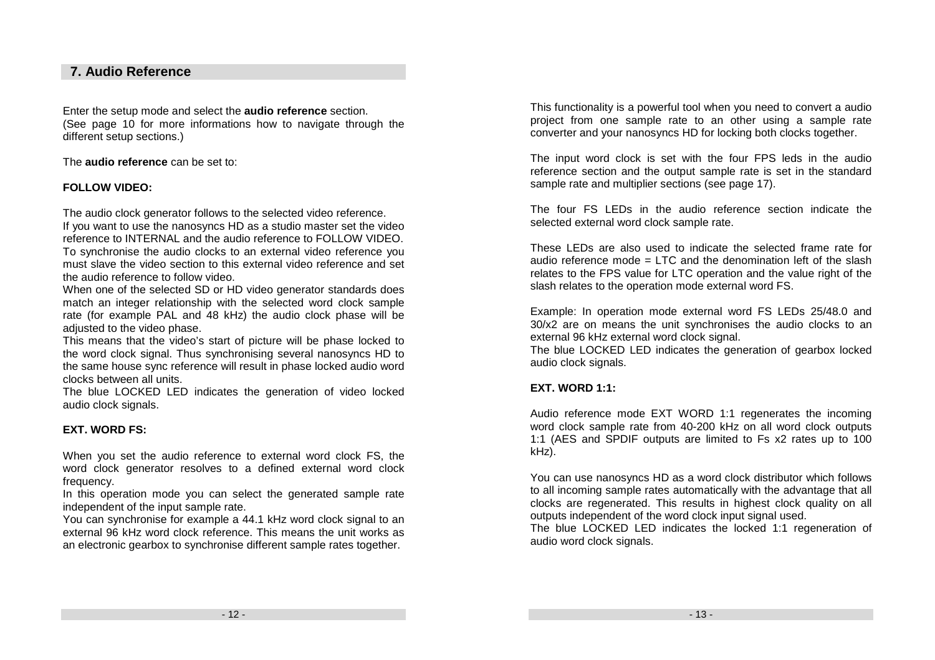#### **7. Audio Reference**

Enter the setup mode and select the **audio reference** section. (See page 10 for more informations how to navigate through the different setup sections.)

The **audio reference** can be set to:

#### **FOLLOW VIDEO:**

The audio clock generator follows to the selected video reference.

 If you want to use the nanosyncs HD as a studio master set the video reference to INTERNAL and the audio reference to FOLLOW VIDEO. To synchronise the audio clocks to an external video reference you must slave the video section to this external video reference and set the audio reference to follow video.

 When one of the selected SD or HD video generator standards does match an integer relationship with the selected word clock sample rate (for example PAL and 48 kHz) the audio clock phase will be adiusted to the video phase.

 This means that the video's start of picture will be phase locked to the word clock signal. Thus synchronising several nanosyncs HD to the same house sync reference will result in phase locked audio word clocks between all units.

 The blue LOCKED LED indicates the generation of video locked audio clock signals.

#### **EXT. WORD FS:**

When you set the audio reference to external word clock FS, the word clock generator resolves to a defined external word clock frequency.

 In this operation mode you can select the generated sample rate independent of the input sample rate.

 You can synchronise for example a 44.1 kHz word clock signal to an external 96 kHz word clock reference. This means the unit works as an electronic gearbox to synchronise different sample rates together.

This functionality is a powerful tool when you need to convert a audio project from one sample rate to an other using a sample rate converter and your nanosyncs HD for locking both clocks together.

The input word clock is set with the four FPS leds in the audio reference section and the output sample rate is set in the standard sample rate and multiplier sections (see page 17).

The four FS LEDs in the audio reference section indicate the selected external word clock sample rate.

These LEDs are also used to indicate the selected frame rate for audio reference mode = LTC and the denomination left of the slash relates to the FPS value for LTC operation and the value right of the slash relates to the operation mode external word FS.

Example: In operation mode external word FS LEDs 25/48.0 and 30/x2 are on means the unit synchronises the audio clocks to an external 96 kHz external word clock signal.

 The blue LOCKED LED indicates the generation of gearbox locked audio clock signals.

#### **EXT. WORD 1:1:**

Audio reference mode EXT WORD 1:1 regenerates the incoming word clock sample rate from 40-200 kHz on all word clock outputs 1:1 (AES and SPDIF outputs are limited to Fs x2 rates up to 100 kHz).

You can use nanosyncs HD as a word clock distributor which follows to all incoming sample rates automatically with the advantage that all clocks are regenerated. This results in highest clock quality on all outputs independent of the word clock input signal used.

 The blue LOCKED LED indicates the locked 1:1 regeneration of audio word clock signals.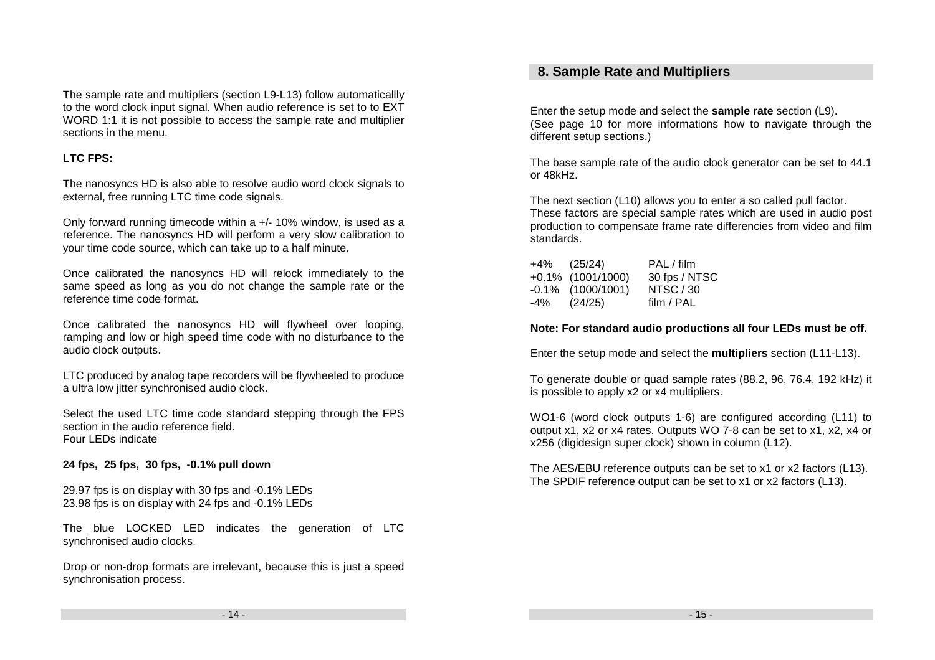The sample rate and multipliers (section L9-L13) follow automaticallly to the word clock input signal. When audio reference is set to to EXT WORD 1:1 it is not possible to access the sample rate and multiplier sections in the menu.

#### **LTC FPS:**

The nanosyncs HD is also able to resolve audio word clock signals to external, free running LTC time code signals.

Only forward running timecode within a +/- 10% window, is used as a reference. The nanosyncs HD will perform a very slow calibration to your time code source, which can take up to a half minute.

Once calibrated the nanosyncs HD will relock immediately to the same speed as long as you do not change the sample rate or the reference time code format.

Once calibrated the nanosyncs HD will flywheel over looping, ramping and low or high speed time code with no disturbance to the audio clock outputs.

LTC produced by analog tape recorders will be flywheeled to produce a ultra low jitter synchronised audio clock.

Select the used LTC time code standard stepping through the FPS section in the audio reference field. Four LEDs indicate

#### **24 fps, 25 fps, 30 fps, -0.1% pull down**

29.97 fps is on display with 30 fps and -0.1% LEDs 23.98 fps is on display with 24 fps and -0.1% LEDs

The blue LOCKED LED indicates the generation of LTCsynchronised audio clocks.

Drop or non-drop formats are irrelevant, because this is just a speed synchronisation process.

#### **8. Sample Rate and Multipliers**

Enter the setup mode and select the **sample rate** section (L9). (See page 10 for more informations how to navigate through the different setup sections.)

The base sample rate of the audio clock generator can be set to 44.1 or 48kHz.

The next section (L10) allows you to enter a so called pull factor. These factors are special sample rates which are used in audio post production to compensate frame rate differencies from video and film standards.

|     | +4% (25/24)          | PAL / film    |
|-----|----------------------|---------------|
|     | $+0.1\%$ (1001/1000) | 30 fps / NTSC |
|     | $-0.1\%$ (1000/1001) | NTSC / 30     |
| -4% | (24/25)              | film / PAL    |

#### **Note: For standard audio productions all four LEDs must be off.**

Enter the setup mode and select the **multipliers** section (L11-L13).

To generate double or quad sample rates (88.2, 96, 76.4, 192 kHz) it is possible to apply x2 or x4 multipliers.

WO1-6 (word clock outputs 1-6) are configured according (L11) to output x1, x2 or x4 rates. Outputs WO 7-8 can be set to x1, x2, x4 or x256 (digidesign super clock) shown in column (L12).

The AES/EBU reference outputs can be set to x1 or x2 factors (L13). The SPDIF reference output can be set to x1 or x2 factors (L13).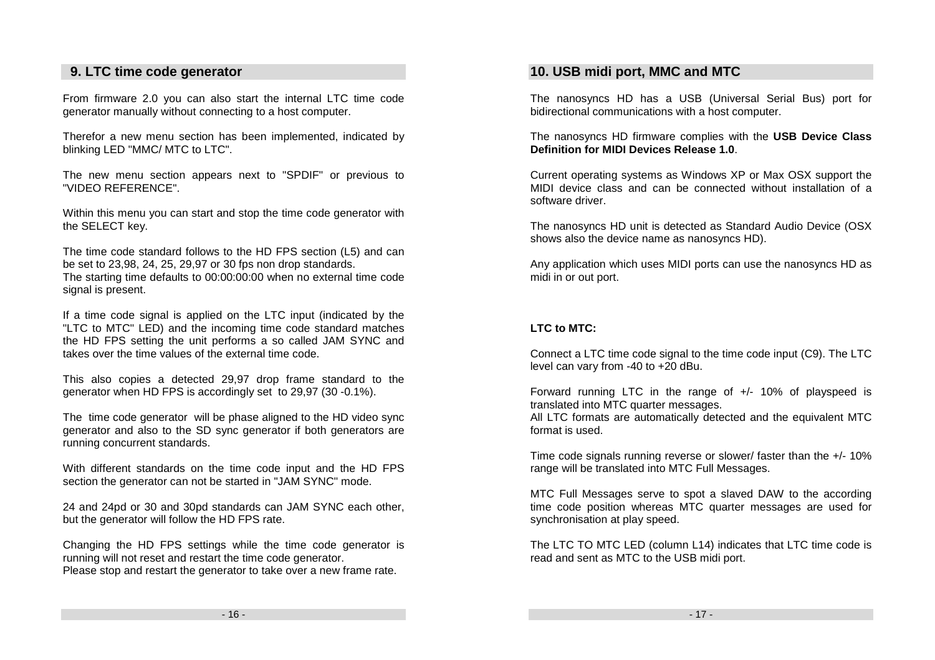#### **9. LTC time code generator**

From firmware 2.0 you can also start the internal LTC time code generator manually without connecting to a host computer.

Therefor a new menu section has been implemented, indicated by blinking LED "MMC/ MTC to LTC".

The new menu section appears next to "SPDIF" or previous to "VIDEO REFERENCE".

Within this menu you can start and stop the time code generator with the SELECT key.

The time code standard follows to the HD FPS section (L5) and can be set to 23,98, 24, 25, 29,97 or 30 fps non drop standards. The starting time defaults to 00:00:00:00 when no external time code signal is present.

If a time code signal is applied on the LTC input (indicated by the "LTC to MTC" LED) and the incoming time code standard matches the HD FPS setting the unit performs a so called JAM SYNC and takes over the time values of the external time code.

This also copies a detected 29,97 drop frame standard to the generator when HD FPS is accordingly set to 29,97 (30 -0.1%).

The time code generator will be phase aligned to the HD video sync generator and also to the SD sync generator if both generators are running concurrent standards.

With different standards on the time code input and the HD FPS section the generator can not be started in "JAM SYNC" mode.

24 and 24pd or 30 and 30pd standards can JAM SYNC each other, but the generator will follow the HD FPS rate.

Changing the HD FPS settings while the time code generator is running will not reset and restart the time code generator. Please stop and restart the generator to take over a new frame rate.

#### **10. USB midi port, MMC and MTC**

The nanosyncs HD has a USB (Universal Serial Bus) port for bidirectional communications with a host computer.

The nanosyncs HD firmware complies with the **USB Device Class Definition for MIDI Devices Release 1.0**.

Current operating systems as Windows XP or Max OSX support the MIDI device class and can be connected without installation of a software driver.

The nanosyncs HD unit is detected as Standard Audio Device (OSX shows also the device name as nanosyncs HD).

Any application which uses MIDI ports can use the nanosyncs HD as midi in or out port.

#### **LTC to MTC:**

Connect a LTC time code signal to the time code input (C9). The LTC level can vary from -40 to +20 dBu.

Forward running LTC in the range of +/- 10% of playspeed is translated into MTC quarter messages.

 All LTC formats are automatically detected and the equivalent MTC format is used.

Time code signals running reverse or slower/ faster than the +/- 10% range will be translated into MTC Full Messages.

MTC Full Messages serve to spot a slaved DAW to the according time code position whereas MTC quarter messages are used for synchronisation at play speed.

The LTC TO MTC LED (column L14) indicates that LTC time code is read and sent as MTC to the USB midi port.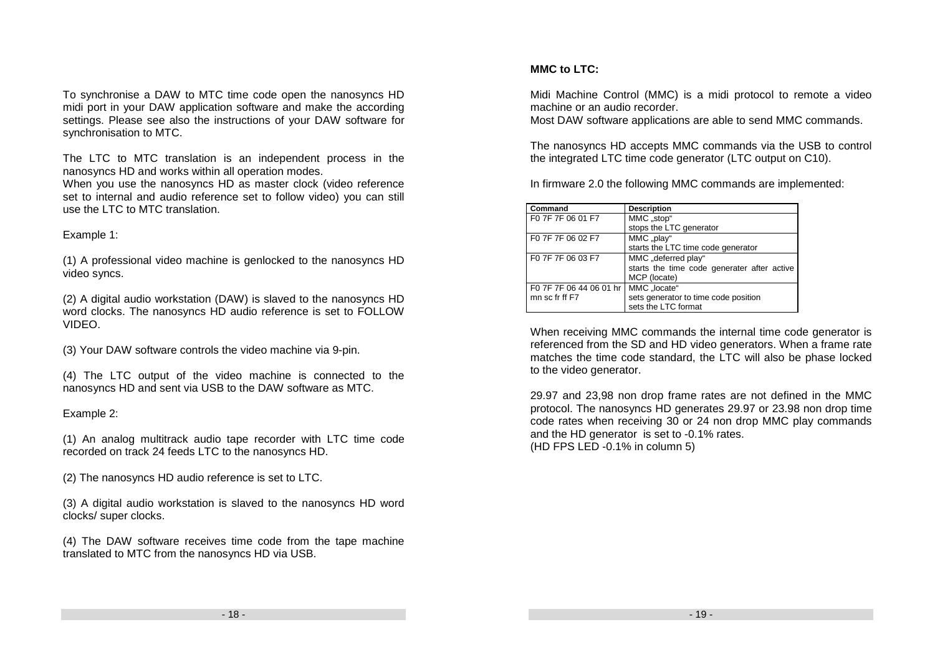To synchronise a DAW to MTC time code open the nanosyncs HD midi port in your DAW application software and make the according settings. Please see also the instructions of your DAW software for synchronisation to MTC.

The LTC to MTC translation is an independent process in the nanosyncs HD and works within all operation modes.

 When you use the nanosyncs HD as master clock (video reference set to internal and audio reference set to follow video) you can still use the LTC to MTC translation.

#### Example 1:

(1) A professional video machine is genlocked to the nanosyncs HD video syncs.

(2) A digital audio workstation (DAW) is slaved to the nanosyncs HD word clocks. The nanosyncs HD audio reference is set to FOLLOW VIDEO.

(3) Your DAW software controls the video machine via 9-pin.

(4) The LTC output of the video machine is connected to the nanosyncs HD and sent via USB to the DAW software as MTC.

#### Example 2:

(1) An analog multitrack audio tape recorder with LTC time code recorded on track 24 feeds LTC to the nanosyncs HD.

(2) The nanosyncs HD audio reference is set to LTC.

(3) A digital audio workstation is slaved to the nanosyncs HD word clocks/ super clocks.

(4) The DAW software receives time code from the tape machine translated to MTC from the nanosyncs HD via USB.

#### **MMC to LTC:**

Midi Machine Control (MMC) is a midi protocol to remote a video machine or an audio recorder.

Most DAW software applications are able to send MMC commands.

The nanosyncs HD accepts MMC commands via the USB to control the integrated LTC time code generator (LTC output on C10).

In firmware 2.0 the following MMC commands are implemented:

| Command                 | <b>Description</b>                          |
|-------------------------|---------------------------------------------|
| F0 7F 7F 06 01 F7       | MMC "stop"                                  |
|                         | stops the LTC generator                     |
| F0 7F 7F 06 02 F7       | MMC "play"                                  |
|                         | starts the LTC time code generator          |
| F0 7F 7F 06 03 F7       | MMC "deferred play"                         |
|                         | starts the time code generater after active |
|                         | MCP (locate)                                |
| F0 7F 7F 06 44 06 01 hr | MMC "locate"                                |
| mn sc fr ff F7          | sets generator to time code position        |
|                         | sets the LTC format                         |

When receiving MMC commands the internal time code generator is referenced from the SD and HD video generators. When a frame rate matches the time code standard, the LTC will also be phase locked to the video generator.

29.97 and 23,98 non drop frame rates are not defined in the MMC protocol. The nanosyncs HD generates 29.97 or 23.98 non drop time code rates when receiving 30 or 24 non drop MMC play commands and the HD generator is set to -0.1% rates. (HD FPS LED -0.1% in column 5)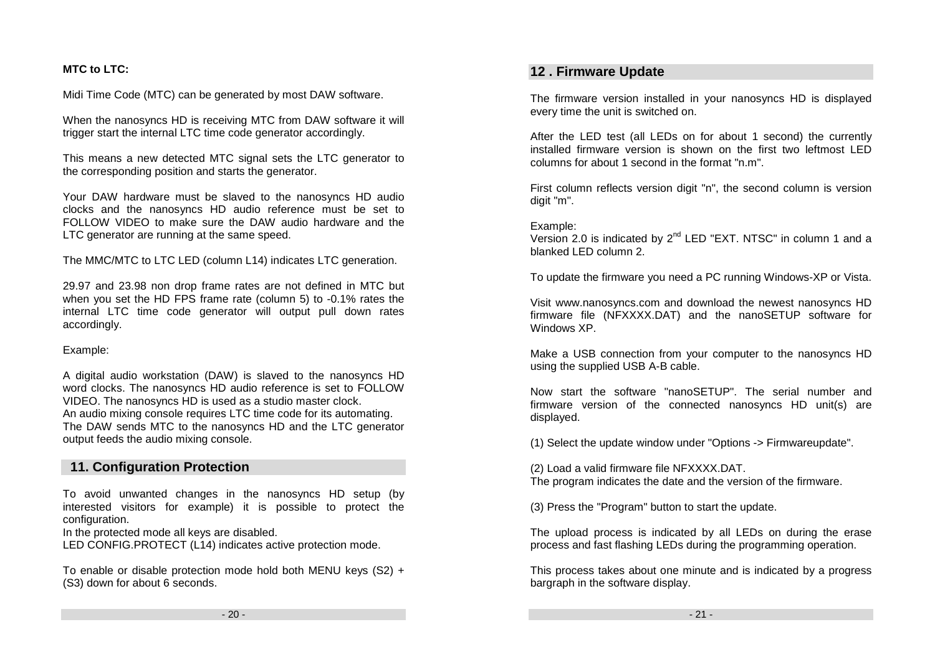#### **MTC to LTC:**

Midi Time Code (MTC) can be generated by most DAW software.

When the nanosyncs HD is receiving MTC from DAW software it will trigger start the internal LTC time code generator accordingly.

This means a new detected MTC signal sets the LTC generator to the corresponding position and starts the generator.

Your DAW hardware must be slaved to the nanosyncs HD audio clocks and the nanosyncs HD audio reference must be set to FOLLOW VIDEO to make sure the DAW audio hardware and the LTC generator are running at the same speed.

The MMC/MTC to LTC LED (column L14) indicates LTC generation.

29.97 and 23.98 non drop frame rates are not defined in MTC but when you set the HD FPS frame rate (column 5) to -0.1% rates the internal LTC time code generator will output pull down rates accordingly.

#### Example:

A digital audio workstation (DAW) is slaved to the nanosyncs HD word clocks. The nanosyncs HD audio reference is set to FOLLOW VIDEO. The nanosyncs HD is used as a studio master clock. An audio mixing console requires LTC time code for its automating. The DAW sends MTC to the nanosyncs HD and the LTC generator output feeds the audio mixing console.

#### **11. Configuration Protection**

To avoid unwanted changes in the nanosyncs HD setup (by interested visitors for example) it is possible to protect the configuration.

In the protected mode all keys are disabled.

LED CONFIG.PROTECT (L14) indicates active protection mode.

To enable or disable protection mode hold both MENU keys (S2) + (S3) down for about 6 seconds.

#### **12 . Firmware Update**

The firmware version installed in your nanosyncs HD is displayed every time the unit is switched on.

After the LED test (all LEDs on for about 1 second) the currently installed firmware version is shown on the first two leftmost LED columns for about 1 second in the format "n.m".

First column reflects version digit "n", the second column is version digit "m".

#### Example:

Version 2.0 is indicated by  $2^{nd}$  LED "EXT. NTSC" in column 1 and a blanked LED column 2.

To update the firmware you need a PC running Windows-XP or Vista.

Visit www.nanosyncs.com and download the newest nanosyncs HD firmware file (NFXXXX.DAT) and the nanoSETUP software for Windows XP.

Make a USB connection from your computer to the nanosyncs HD using the supplied USB A-B cable.

Now start the software "nanoSETUP". The serial number and firmware version of the connected nanosyncs HD unit(s) are displayed.

(1) Select the update window under "Options -> Firmwareupdate".

(2) Load a valid firmware file NFXXXX.DAT. The program indicates the date and the version of the firmware.

(3) Press the "Program" button to start the update.

The upload process is indicated by all LEDs on during the erase process and fast flashing LEDs during the programming operation.

This process takes about one minute and is indicated by a progress bargraph in the software display.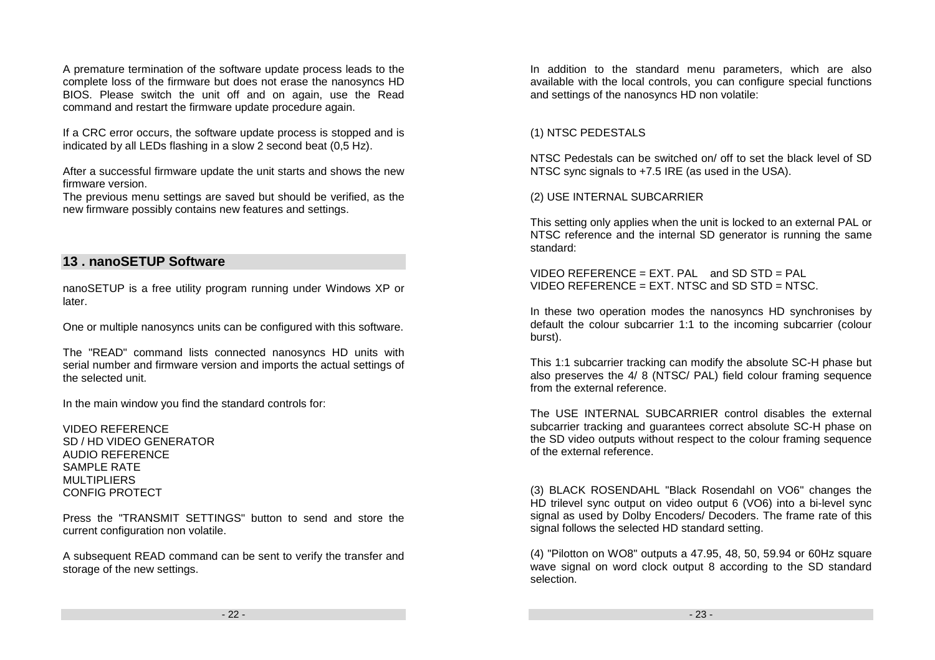A premature termination of the software update process leads to the complete loss of the firmware but does not erase the nanosyncs HD BIOS. Please switch the unit off and on again, use the Read command and restart the firmware update procedure again.

If a CRC error occurs, the software update process is stopped and is indicated by all LEDs flashing in a slow 2 second beat (0,5 Hz).

After a successful firmware update the unit starts and shows the new firmware version.

 The previous menu settings are saved but should be verified, as the new firmware possibly contains new features and settings.

#### **13 . nanoSETUP Software**

nanoSETUP is a free utility program running under Windows XP or later.

One or multiple nanosyncs units can be configured with this software.

The "READ" command lists connected nanosyncs HD units with serial number and firmware version and imports the actual settings of the selected unit.

In the main window you find the standard controls for:

VIDEO REFERENCE SD / HD VIDEO GENERATOR AUDIO REFERENCE SAMPLE RATE MULTIPLIERS CONFIG PROTECT

Press the "TRANSMIT SETTINGS" button to send and store the current configuration non volatile.

A subsequent READ command can be sent to verify the transfer and storage of the new settings.

In addition to the standard menu parameters, which are also available with the local controls, you can configure special functions and settings of the nanosyncs HD non volatile:

#### (1) NTSC PEDESTALS

NTSC Pedestals can be switched on/ off to set the black level of SD NTSC sync signals to +7.5 IRE (as used in the USA).

#### (2) USE INTERNAL SUBCARRIER

This setting only applies when the unit is locked to an external PAL or NTSC reference and the internal SD generator is running the same standard:

VIDEO REFERENCE =  $EXT$ . PAL and SD STD = PAL VIDEO REFERENCE = EXT. NTSC and SD STD = NTSC.

In these two operation modes the nanosyncs HD synchronises by default the colour subcarrier 1:1 to the incoming subcarrier (colour burst).

This 1:1 subcarrier tracking can modify the absolute SC-H phase but also preserves the 4/ 8 (NTSC/ PAL) field colour framing sequence from the external reference.

The USE INTERNAL SUBCARRIER control disables the external subcarrier tracking and guarantees correct absolute SC-H phase on the SD video outputs without respect to the colour framing sequence of the external reference.

(3) BLACK ROSENDAHL "Black Rosendahl on VO6" changes the HD trilevel sync output on video output 6 (VO6) into a bi-level sync signal as used by Dolby Encoders/ Decoders. The frame rate of this signal follows the selected HD standard setting.

(4) "Pilotton on WO8" outputs a 47.95, 48, 50, 59.94 or 60Hz square wave signal on word clock output 8 according to the SD standard selection.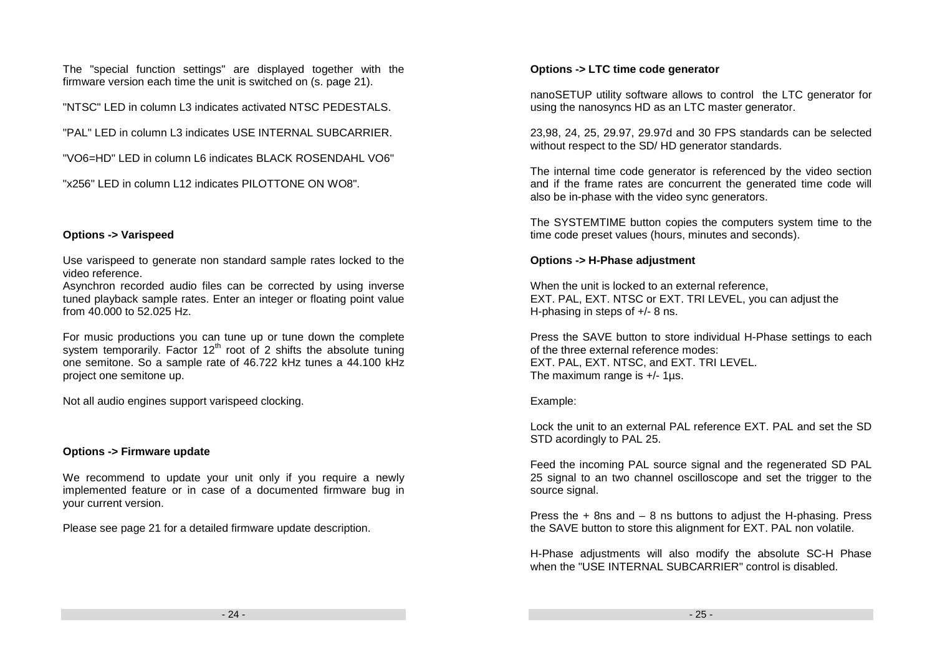The "special function settings" are displayed together with the firmware version each time the unit is switched on (s. page 21).

"NTSC" LED in column L3 indicates activated NTSC PEDESTALS.

"PAL" LED in column L3 indicates USE INTERNAL SUBCARRIER.

"VO6=HD" LED in column L6 indicates BLACK ROSENDAHL VO6"

"x256" LED in column L12 indicates PILOTTONE ON WO8".

#### **Options -> Varispeed**

Use varispeed to generate non standard sample rates locked to the video reference.

 Asynchron recorded audio files can be corrected by using inverse tuned playback sample rates. Enter an integer or floating point value from 40.000 to 52.025 Hz.

For music productions you can tune up or tune down the complete system temporarily. Factor 12<sup>th</sup> root of 2 shifts the absolute tuning one semitone. So a sample rate of 46.722 kHz tunes a 44.100 kHz project one semitone up.

Not all audio engines support varispeed clocking.

#### **Options -> Firmware update**

We recommend to update your unit only if you require a newly implemented feature or in case of a documented firmware bug in your current version.

Please see page 21 for a detailed firmware update description.

#### **Options -> LTC time code generator**

nanoSETUP utility software allows to control the LTC generator for using the nanosyncs HD as an LTC master generator.

23,98, 24, 25, 29.97, 29.97d and 30 FPS standards can be selected without respect to the SD/ HD generator standards.

The internal time code generator is referenced by the video section and if the frame rates are concurrent the generated time code will also be in-phase with the video sync generators.

The SYSTEMTIME button copies the computers system time to the time code preset values (hours, minutes and seconds).

#### **Options -> H-Phase adjustment**

When the unit is locked to an external reference, EXT. PAL, EXT. NTSC or EXT. TRI LEVEL, you can adjust the H-phasing in steps of +/- 8 ns.

Press the SAVE button to store individual H-Phase settings to each of the three external reference modes: EXT. PAL, EXT. NTSC, and EXT. TRI LEVEL. The maximum range is +/- 1µs.

#### Example:

Lock the unit to an external PAL reference EXT. PAL and set the SD STD acordingly to PAL 25.

Feed the incoming PAL source signal and the regenerated SD PAL 25 signal to an two channel oscilloscope and set the trigger to the source signal.

Press the  $+$  8ns and  $-$  8 ns buttons to adjust the H-phasing. Press the SAVE button to store this alignment for EXT. PAL non volatile.

H-Phase adjustments will also modify the absolute SC-H Phase when the "USE INTERNAL SUBCARRIER" control is disabled